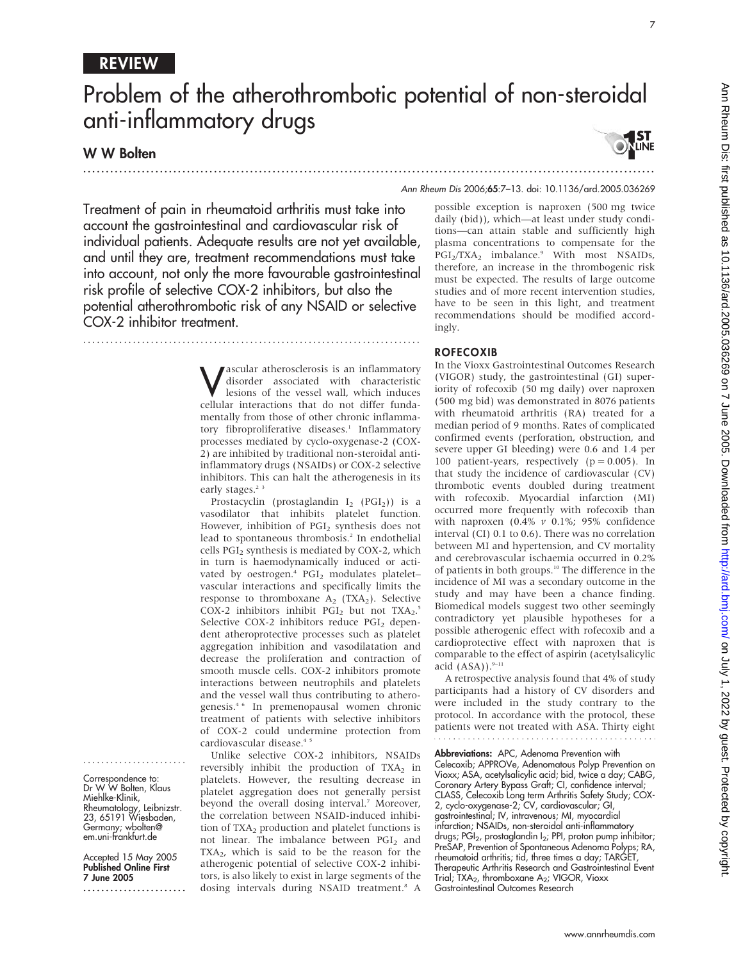## REVIEW

# Problem of the atherothrombotic potential of non-steroidal anti-inflammatory drugs

## W W Bolten



Treatment of pain in rheumatoid arthritis must take into account the gastrointestinal and cardiovascular risk of individual patients. Adequate results are not yet available, and until they are, treatment recommendations must take into account, not only the more favourable gastrointestinal risk profile of selective COX-2 inhibitors, but also the potential atherothrombotic risk of any NSAID or selective COX-2 inhibitor treatment.

...........................................................................

**V** ascular atherosclerosis is an inflammatory<br>disorder associated with characteristic<br>lesions of the vessel wall, which induces disorder associated with characteristic lesions of the vessel wall, which induces cellular interactions that do not differ fundamentally from those of other chronic inflammatory fibroproliferative diseases.<sup>1</sup> Inflammatory processes mediated by cyclo-oxygenase-2 (COX-2) are inhibited by traditional non-steroidal antiinflammatory drugs (NSAIDs) or COX-2 selective inhibitors. This can halt the atherogenesis in its early stages.<sup>23</sup>

Prostacyclin (prostaglandin  $I_2$  (PGI<sub>2</sub>)) is a vasodilator that inhibits platelet function. However, inhibition of PGI<sub>2</sub> synthesis does not lead to spontaneous thrombosis.<sup>2</sup> In endothelial cells PGI2 synthesis is mediated by COX-2, which in turn is haemodynamically induced or activated by oestrogen.<sup>4</sup> PGI<sub>2</sub> modulates plateletvascular interactions and specifically limits the response to thromboxane  $A_2$  (TXA<sub>2</sub>). Selective COX-2 inhibitors inhibit  $PGI_2$  but not  $TXA_2$ .<sup>5</sup> Selective COX-2 inhibitors reduce PGI<sub>2</sub> dependent atheroprotective processes such as platelet aggregation inhibition and vasodilatation and decrease the proliferation and contraction of smooth muscle cells. COX-2 inhibitors promote interactions between neutrophils and platelets and the vessel wall thus contributing to atherogenesis.4 6 In premenopausal women chronic treatment of patients with selective inhibitors of COX-2 could undermine protection from cardiovascular disease.<sup>4</sup>

Unlike selective COX-2 inhibitors, NSAIDs reversibly inhibit the production of  $TXA<sub>2</sub>$  in platelets. However, the resulting decrease in platelet aggregation does not generally persist beyond the overall dosing interval.<sup>7</sup> Moreover, the correlation between NSAID-induced inhibition of  $TXA<sub>2</sub>$  production and platelet functions is not linear. The imbalance between PGI<sub>2</sub> and  $TXA<sub>2</sub>$ , which is said to be the reason for the atherogenic potential of selective COX-2 inhibitors, is also likely to exist in large segments of the dosing intervals during NSAID treatment.8 A

possible exception is naproxen (500 mg twice daily (bid)), which—at least under study conditions—can attain stable and sufficiently high plasma concentrations to compensate for the  $PGI_2/TXA_2$  imbalance.<sup>9</sup> With most NSAIDs, therefore, an increase in the thrombogenic risk must be expected. The results of large outcome studies and of more recent intervention studies, have to be seen in this light, and treatment recommendations should be modified accordingly.

#### **ROFECOXIB**

In the Vioxx Gastrointestinal Outcomes Research (VIGOR) study, the gastrointestinal (GI) superiority of rofecoxib (50 mg daily) over naproxen (500 mg bid) was demonstrated in 8076 patients with rheumatoid arthritis (RA) treated for a median period of 9 months. Rates of complicated confirmed events (perforation, obstruction, and severe upper GI bleeding) were 0.6 and 1.4 per 100 patient-years, respectively  $(p = 0.005)$ . In that study the incidence of cardiovascular (CV) thrombotic events doubled during treatment with rofecoxib. Myocardial infarction (MI) occurred more frequently with rofecoxib than with naproxen (0.4%  $\nu$  0.1%; 95% confidence interval (CI) 0.1 to 0.6). There was no correlation between MI and hypertension, and CV mortality and cerebrovascular ischaemia occurred in 0.2% of patients in both groups.10 The difference in the incidence of MI was a secondary outcome in the study and may have been a chance finding. Biomedical models suggest two other seemingly contradictory yet plausible hypotheses for a possible atherogenic effect with rofecoxib and a cardioprotective effect with naproxen that is comparable to the effect of aspirin (acetylsalicylic acid  $(ASA)$ ).<sup>9-11</sup>

A retrospective analysis found that 4% of study participants had a history of CV disorders and were included in the study contrary to the protocol. In accordance with the protocol, these patients were not treated with ASA. Thirty eight

Abbreviations: APC, Adenoma Prevention with Celecoxib; APPROVe, Adenomatous Polyp Prevention on Vioxx; ASA, acetylsalicylic acid; bid, twice a day; CABG, Coronary Artery Bypass Graft; CI, confidence interval; CLASS, Celecoxib Long term Arthritis Safety Study; COX-2, cyclo-oxygenase-2; CV, cardiovascular; GI, gastrointestinal; IV, intravenous; MI, myocardial infarction; NSAIDs, non-steroidal anti-inflammatory drugs; PGI2, prostaglandin I2; PPI, proton pump inhibitor; PreSAP, Prevention of Spontaneous Adenoma Polyps; RA, rheumatoid arthritis; tid, three times a day; TARGET, Therapeutic Arthritis Research and Gastrointestinal Event Trial; TXA<sub>2</sub>, thromboxane A<sub>2</sub>; VIGOR, Vioxx Gastrointestinal Outcomes Research

Correspondence to: Dr W W Bolten, Klaus Miehlke-Klinik, Rheumatology, Leibnizstr. 23, 65191 Wiesbaden, Germany; wbolten@ em.uni-frankfurt.de

.......................

Accepted 15 May 2005 Published Online First 7 June 2005

.......................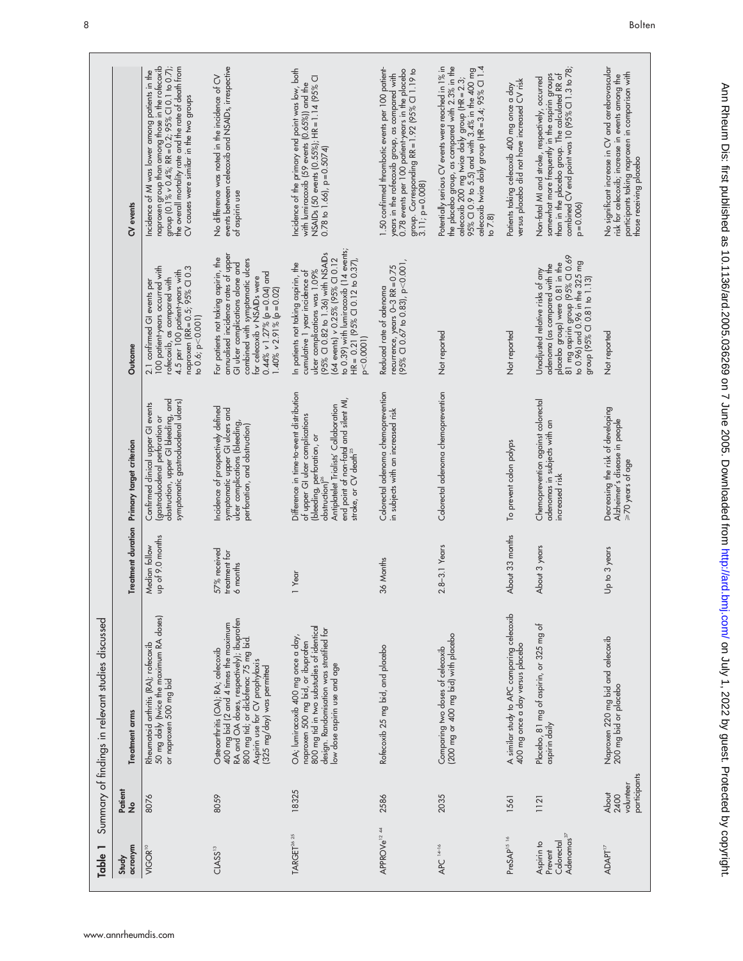| Table 1                                                       |                                                   | Summary of findings in relevant studies discussed                                                                                                                                                                                |                                           |                                                                                                                                                                                                                                                  |                                                                                                                                                                                                                                                                             |                                                                                                                                                                                                                                                                                          |
|---------------------------------------------------------------|---------------------------------------------------|----------------------------------------------------------------------------------------------------------------------------------------------------------------------------------------------------------------------------------|-------------------------------------------|--------------------------------------------------------------------------------------------------------------------------------------------------------------------------------------------------------------------------------------------------|-----------------------------------------------------------------------------------------------------------------------------------------------------------------------------------------------------------------------------------------------------------------------------|------------------------------------------------------------------------------------------------------------------------------------------------------------------------------------------------------------------------------------------------------------------------------------------|
| acronym<br>Study                                              | Patient<br>No                                     | <b>Treatment arms</b>                                                                                                                                                                                                            | <b>Treatment duration</b>                 | Primary target criterion                                                                                                                                                                                                                         | Outcome                                                                                                                                                                                                                                                                     | CV events                                                                                                                                                                                                                                                                                |
| VIGOR <sup>10</sup>                                           | 8076                                              | 50 mg daily (twice the maximum RA doses)<br>Rheumatoid arthritis (RA); rofecoxib<br>or naproxen 500 mg bid                                                                                                                       | up of 9.0 months<br>Median follow         | obstruction, upper GI bleeding, and<br>symptomatic gastroduodenal ulcers)<br>Confirmed clinical upper GI events<br>(gastroduodenal perforation or                                                                                                | 100 patient-years occurred with<br>naproxen (RR = 0.5; 95% Cl 0.3<br>4.5 per 100 patient-years with<br>rofecoxib, as compared with<br>2.1 confirmed GI events per<br>to 0.6; p < 0.001                                                                                      | naproxen group than among those in the rofecoxib<br>the overall mortality rate and the rate of death from<br>group $[0.1\% \times 0.4\%; RR = 0.2; 95\% \text{ C}1 0.1 \text{ to } 0.7];$<br>Incidence of MI was lower among patients in the<br>CV causes were similar in the two groups |
| CLASS <sup>13</sup>                                           | 8059                                              | 400 mg bid (2 and 4 times the maximum<br>RA and OA doses, respectively); ibuprofen<br>800 mg tid; or diclofenac 75 mg bid.<br>Osteoarthritis (OA); RA; celecoxib<br>Aspirin use for CV prophylaxis<br>(325 mg/day) was permitted | 57% received<br>treatment for<br>6 months | Incidence of prospectively defined<br>symptomatic upper GI ulcers and<br>ulcer complications (bleeding,<br>perforation, and obstruction)                                                                                                         | annualised incidence rates of upper<br>For patients not taking aspirin, the<br>combined with symptomatic ulcers<br>GI ulcer complications alone and<br>$0.44\%$ v 1.27% (p=0.04) and<br>for celecoxib v NSAIDs were<br>$1.40\% \times 2.91\%$ (p=0.02)                      | events between celecoxib and NSAIDs, irrespective<br>No difference was noted in the incidence of CV<br>of aspirin use                                                                                                                                                                    |
| TARGET <sup>26</sup> <sup>25</sup>                            | 18325                                             | 800 mg tid in two substudies of identical<br>design. Randomisation was stratified for<br>OA; lumiracoxib 400 mg once a day,<br>naproxen 500 mg bid, or ibuprofen<br>low dose aspirin use and age                                 | 1 Year                                    | Difference in time-to-event distribution<br>end point of non-fatal and silent MI,<br>Antiplatelet Trialists' Collaboration<br>of upper GI ulcer complications<br>(bleeding, perforation, or<br>stroke, or CV death <sup>25</sup><br>obstruction) | to 0.39) with lumiracoxib (14 events;<br>(95% CI 0.82 to 1.36) with NSAIDs<br>64 events) v 0.25% (95% Cl 0.12<br>$HR = 0.21$ (95% CI 0.12 to 0.37),<br>In patients not taking aspirin, the<br>ulcer complications was 1.09%<br>cumulative 1 year incidence of<br>p < 0.0001 | Incidence of the primary end point was low, both<br>NSAIDs (50 events (0.55%); HR = 1.14 (95% CI<br>with lumiracoxib (59 events (0.65%)) and the<br>$0.78$ to 1.66), $p = 0.5074$                                                                                                        |
| APPROVe <sup>12 44</sup>                                      | 2586                                              | Rofecoxib 25 mg bid, and placebo                                                                                                                                                                                                 | 36 Months                                 | Colorectal adenoma chemoprevention<br>in subjects with an increased risk                                                                                                                                                                         | $(95\%$ CI 0.67 to 0.83), p<0.001,<br>recurrence, years $0-3$ RR = $0.75$<br>Reduced rate of adenoma                                                                                                                                                                        | 1.50 confirmed thrombotic events per 100 patient-<br>0.78 events per 100 patient-years in the placebo<br>group. Corresponding RR = 1.92 (95% CI 1.19 to<br>years in the rofecoxib group, as compared with<br>$3.11$ ; $p = 0.008$                                                        |
| $APC14-16$                                                    | 2035                                              | Comparing two doses of celecoxib<br>(200 mg or 400 mg bid) with placebo                                                                                                                                                          | 2.8-3.1 Years                             | Colorectal adenoma chemoprevention                                                                                                                                                                                                               | Not reported                                                                                                                                                                                                                                                                | the placebo group, as compared with 2.3% in the<br>Potentially serious CV events were reached in 1% in<br>celecoxib 200 mg twice daily group (HR = 2.3;<br>95% Cl 0.9 to 5.5) and with 3.4% in the 400 mg<br>celecoxib twice daily group (HR = 3.4; 95% Cl 1.4<br>to $7.8$               |
| PreSAP <sup>15 16</sup>                                       | 1561                                              | A similar study to APC comparing celecoxib<br>400 mg once a day versus placebo                                                                                                                                                   | About 33 months                           | To prevent colon polyps                                                                                                                                                                                                                          | Not reported                                                                                                                                                                                                                                                                | versus placebo did not have increased CV risk<br>Patients taking celecoxib 400 mg once a day                                                                                                                                                                                             |
| Adenomas <sup>37</sup><br>Colorectal<br>Aspirin to<br>Prevent | 1121                                              | Placebo, 81 mg of aspirin, or 325 mg of<br>aspirin daily                                                                                                                                                                         | About 3 years                             | Chemoprevention against colorectal<br>adenomas in subjects with an<br>increased risk                                                                                                                                                             | 81 mg aspirin group (95% CI 0.69<br>to 0.96) and 0.96 in the 325 mg<br>placebo group) were 0.81 in the<br>adenoma (as compared with the<br>Unadjusted relative risks of any<br>group (95% CI 0.81 to 1.13)                                                                  | somewhat more frequently in the aspirin groups<br>than in the placebo group. The calculated RR of<br>combined CV end point was 10 (95% Cl 1.3 to 78;<br>Non-fatal MI and stroke, respectively, occurred<br>$p = 0.006$                                                                   |
| <b>ADAPT</b> <sup>17</sup>                                    | participants<br>volunteer<br><b>About</b><br>2400 | Naproxen 220 mg bid and celecoxib<br>200 mg bid or placebo                                                                                                                                                                       | Up to 3 years                             | Decreasing the risk of developing<br>Alzheimer's disease in people<br>>70 years of age                                                                                                                                                           | Not reported                                                                                                                                                                                                                                                                | No significant increase in CV and cerebrovascular<br>participants taking naproxen in comparison with<br>risk for celecoxib; increase in events among the<br>those receiving placebo                                                                                                      |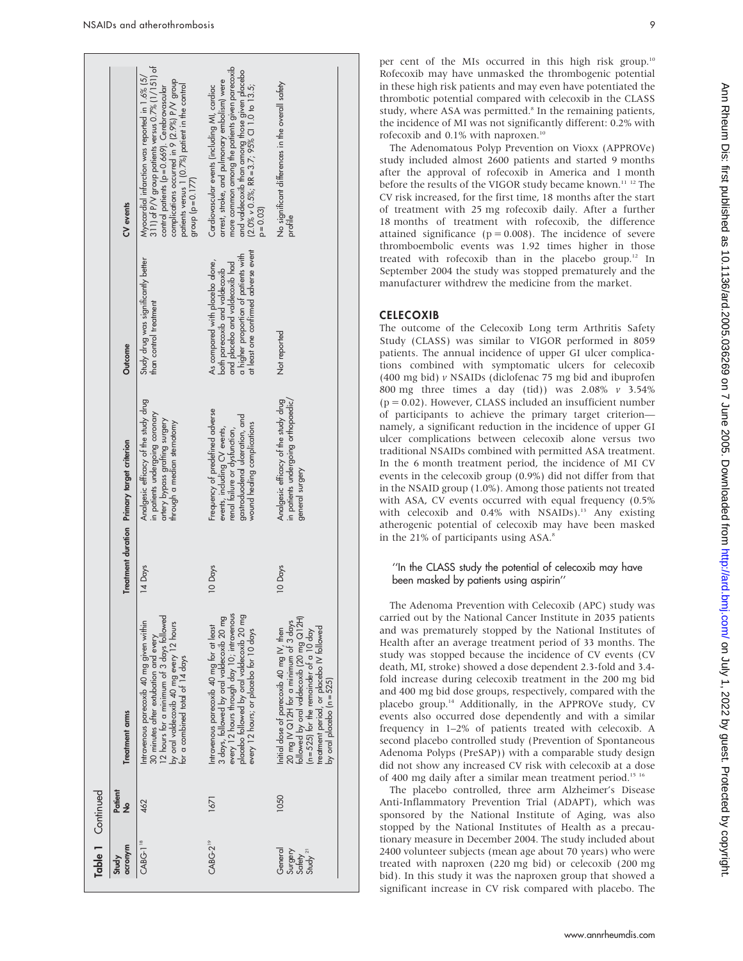|                                                     | Table 1 Continued |                                                                                                                                                                                                                                                     |         |                                                                                                                                                                   |                                                                                                                                                                                    |                                                                                                                                                                                                                                                                                         |
|-----------------------------------------------------|-------------------|-----------------------------------------------------------------------------------------------------------------------------------------------------------------------------------------------------------------------------------------------------|---------|-------------------------------------------------------------------------------------------------------------------------------------------------------------------|------------------------------------------------------------------------------------------------------------------------------------------------------------------------------------|-----------------------------------------------------------------------------------------------------------------------------------------------------------------------------------------------------------------------------------------------------------------------------------------|
| acronym<br>Study                                    | Patient<br>ş      | <b>Treatment arms</b>                                                                                                                                                                                                                               |         | Treatment duration Primary target criterion                                                                                                                       | Outcome                                                                                                                                                                            | CV events                                                                                                                                                                                                                                                                               |
| <b>CABG-1<sup>18</sup></b>                          | 462               | 30 minutes after extubation and every<br>12 hours for a minimum of 3 days followed<br>Intravenous parecoxib 40 mg given within<br>by oral valdecoxib 40 mg every 12 hours<br>for a combined total of 14 days                                        | 14 Days | Analgesic efficacy of the study drug<br>in patients undergoing coronary<br>artery bypass gratting surgery<br>through a median sternotomy                          | Study drug was significantly better<br>than control treatment                                                                                                                      | 311) of P/V group patients versus 0.7% (1/151) of<br>Myocardial infarction was reported in 1.6% (5/<br>complications occurred in 9 (2.9%) P/V group<br>patients versus 1 (0.7%) patient in the control<br>control patients (p=0.669). Cerebrovascular<br>group $(p = 0.177)$            |
| $CABC-2^{19}$                                       | 1671              | every 12 hours through day 10; intravenous<br>placebo followed by oral valdecoxib 20 mg<br>3 days, followed by oral valdecoxib 20 mg<br>Intravenous parecoxib 40 mg for at least<br>every 12 hours; or placebo for 10 days                          | 10 Days | Frequency of predefined adverse<br>gastroduodenal ulceration, and<br>wound healing complications<br>events, including CV events,<br>renal failure or dysfunction, | at least one confirmed adverse event<br>a higher proportion of patients with<br>As compared with placebo alone,<br>both parecoxib and valdecoxib<br>and placebo and valdecoxib had | more common among the patients given parecoxib<br>and valdecoxib than among those given placebo<br>arrest, stroke, and pulmonary embolism) were<br>$(2.0\% \times 0.5\%; RR = 3.7; 95\% \text{ CI} 1.0 \text{ to } 13.5;$<br>Cardiovascular events (including MI, cardiac<br>$p = 0.03$ |
| General<br>Surgery<br>Safety<br>Study <sup>21</sup> | 1050              | 20 mg IV Q12H for a minimum of 3 days<br>followed by oral valdecoxib (20 mg Q12H)<br>treatment period, or placebo IV followed<br>Initial dose of parecoxib 40 mg IV, then<br>$(n = 525)$ for the remainder of a 10 day<br>ov oral placebo (n = 525) | 10 Days | in patients undergoing orthopaedic/<br>Analgesic efficacy of the study drug<br>general surgery                                                                    | Not reported                                                                                                                                                                       | No significant differences in the overall satety<br>profile                                                                                                                                                                                                                             |

per cent of the MIs occurred in this high risk group.<sup>10</sup> Rofecoxib may have unmasked the thrombogenic potential in these high risk patients and may even have potentiated the thrombotic potential compared with celecoxib in the CLASS study, where ASA was permitted.<sup>8</sup> In the remaining patients, the incidence of MI was not significantly different: 0.2% with rofecoxib and 0.1% with naproxen.<sup>10</sup>

The Adenomatous Polyp Prevention on Vioxx (APPROVe) study included almost 2600 patients and started 9 months after the approval of rofecoxib in America and 1 month before the results of the VIGOR study became known.11 12 The CV risk increased, for the first time, 18 months after the start of treatment with 25 mg rofecoxib daily. After a further 18 months of treatment with rofecoxib, the difference attained significance ( $p = 0.008$ ). The incidence of severe thromboembolic events was 1.92 times higher in those treated with rofecoxib than in the placebo group.<sup>12</sup> In September 2004 the study was stopped prematurely and the manufacturer withdrew the medicine from the market.

## **CELECOXIB**

The outcome of the Celecoxib Long term Arthritis Safety Study (CLASS) was similar to VIGOR performed in 8059 patients. The annual incidence of upper GI ulcer complications combined with symptomatic ulcers for celecoxib (400 mg bid)  $\nu$  NSAIDs (diclofenac 75 mg bid and ibuprofen 800 mg three times a day (tid)) was 2.08%  $v$  3.54%  $(p = 0.02)$ . However, CLASS included an insufficient number of participants to achieve the primary target criterion namely, a significant reduction in the incidence of upper GI ulcer complications between celecoxib alone versus two traditional NSAIDs combined with permitted ASA treatment. In the 6 month treatment period, the incidence of MI CV events in the celecoxib group (0.9%) did not differ from that in the NSAID group (1.0%). Among those patients not treated with ASA, CV events occurred with equal frequency (0.5% with celecoxib and 0.4% with NSAIDs).<sup>13</sup> Any existing atherogenic potential of celecoxib may have been masked in the 21% of participants using ASA.8

### ''In the CLASS study the potential of celecoxib may have been masked by patients using aspirin''

The Adenoma Prevention with Celecoxib (APC) study was carried out by the National Cancer Institute in 2035 patients and was prematurely stopped by the National Institutes of Health after an average treatment period of 33 months. The study was stopped because the incidence of CV events (CV death, MI, stroke) showed a dose dependent 2.3-fold and 3.4 fold increase during celecoxib treatment in the 200 mg bid and 400 mg bid dose groups, respectively, compared with the placebo group.14 Additionally, in the APPROVe study, CV events also occurred dose dependently and with a similar frequency in 1–2% of patients treated with celecoxib. A second placebo controlled study (Prevention of Spontaneous Adenoma Polyps (PreSAP)) with a comparable study design did not show any increased CV risk with celecoxib at a dose of 400 mg daily after a similar mean treatment period.<sup>15 16</sup>

The placebo controlled, three arm Alzheimer's Disease Anti-Inflammatory Prevention Trial (ADAPT), which was sponsored by the National Institute of Aging, was also stopped by the National Institutes of Health as a precautionary measure in December 2004. The study included about 2400 volunteer subjects (mean age about 70 years) who were treated with naproxen (220 mg bid) or celecoxib (200 mg bid). In this study it was the naproxen group that showed a significant increase in CV risk compared with placebo. The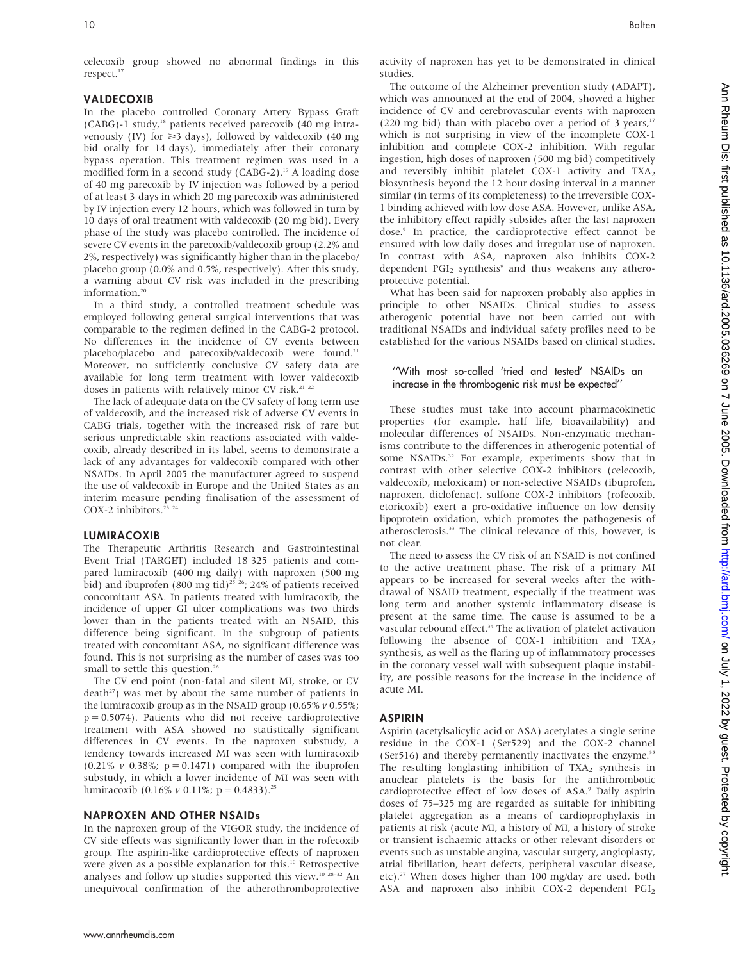celecoxib group showed no abnormal findings in this respect.<sup>17</sup>

#### VALDECOXIB

In the placebo controlled Coronary Artery Bypass Graft (CABG)-1 study,18 patients received parecoxib (40 mg intravenously (IV) for  $\geq 3$  days), followed by valdecoxib (40 mg) bid orally for 14 days), immediately after their coronary bypass operation. This treatment regimen was used in a modified form in a second study (CABG-2).<sup>19</sup> A loading dose of 40 mg parecoxib by IV injection was followed by a period of at least 3 days in which 20 mg parecoxib was administered by IV injection every 12 hours, which was followed in turn by 10 days of oral treatment with valdecoxib (20 mg bid). Every phase of the study was placebo controlled. The incidence of severe CV events in the parecoxib/valdecoxib group (2.2% and 2%, respectively) was significantly higher than in the placebo/ placebo group (0.0% and 0.5%, respectively). After this study, a warning about CV risk was included in the prescribing information.<sup>20</sup>

In a third study, a controlled treatment schedule was employed following general surgical interventions that was comparable to the regimen defined in the CABG-2 protocol. No differences in the incidence of CV events between placebo/placebo and parecoxib/valdecoxib were found.<sup>21</sup> Moreover, no sufficiently conclusive CV safety data are available for long term treatment with lower valdecoxib doses in patients with relatively minor CV risk.<sup>21</sup> <sup>22</sup>

The lack of adequate data on the CV safety of long term use of valdecoxib, and the increased risk of adverse CV events in CABG trials, together with the increased risk of rare but serious unpredictable skin reactions associated with valdecoxib, already described in its label, seems to demonstrate a lack of any advantages for valdecoxib compared with other NSAIDs. In April 2005 the manufacturer agreed to suspend the use of valdecoxib in Europe and the United States as an interim measure pending finalisation of the assessment of COX-2 inhibitors. $2324$ 

#### LUMIRACOXIB

The Therapeutic Arthritis Research and Gastrointestinal Event Trial (TARGET) included 18 325 patients and compared lumiracoxib (400 mg daily) with naproxen (500 mg bid) and ibuprofen (800 mg tid)<sup>25 26</sup>; 24% of patients received concomitant ASA. In patients treated with lumiracoxib, the incidence of upper GI ulcer complications was two thirds lower than in the patients treated with an NSAID, this difference being significant. In the subgroup of patients treated with concomitant ASA, no significant difference was found. This is not surprising as the number of cases was too small to settle this question.<sup>26</sup>

The CV end point (non-fatal and silent MI, stroke, or CV  $death^{27}$ ) was met by about the same number of patients in the lumiracoxib group as in the NSAID group (0.65%  $v$  0.55%;  $p = 0.5074$ ). Patients who did not receive cardioprotective treatment with ASA showed no statistically significant differences in CV events. In the naproxen substudy, a tendency towards increased MI was seen with lumiracoxib  $(0.21\% \text{ v } 0.38\%; \text{ p} = 0.1471)$  compared with the ibuprofen substudy, in which a lower incidence of MI was seen with lumiracoxib (0.16%  $\nu$  0.11%; p = 0.4833).<sup>25</sup>

#### NAPROXEN AND OTHER NSAIDs

In the naproxen group of the VIGOR study, the incidence of CV side effects was significantly lower than in the rofecoxib group. The aspirin-like cardioprotective effects of naproxen were given as a possible explanation for this.<sup>10</sup> Retrospective analyses and follow up studies supported this view.<sup>10 28-32</sup> An unequivocal confirmation of the atherothromboprotective

studies.

protective potential.

not clear.

acute MI.

ASPIRIN

activity of naproxen has yet to be demonstrated in clinical The outcome of the Alzheimer prevention study (ADAPT), which was announced at the end of 2004, showed a higher incidence of CV and cerebrovascular events with naproxen (220 mg bid) than with placebo over a period of 3 years, $17$ which is not surprising in view of the incomplete COX-1 inhibition and complete COX-2 inhibition. With regular ingestion, high doses of naproxen (500 mg bid) competitively and reversibly inhibit platelet COX-1 activity and  $TXA<sub>2</sub>$ biosynthesis beyond the 12 hour dosing interval in a manner similar (in terms of its completeness) to the irreversible COX-1 binding achieved with low dose ASA. However, unlike ASA, the inhibitory effect rapidly subsides after the last naproxen dose.<sup>9</sup> In practice, the cardioprotective effect cannot be ensured with low daily doses and irregular use of naproxen. In contrast with ASA, naproxen also inhibits COX-2 dependent  $PGI<sub>2</sub>$  synthesis<sup>9</sup> and thus weakens any athero-What has been said for naproxen probably also applies in principle to other NSAIDs. Clinical studies to assess atherogenic potential have not been carried out with traditional NSAIDs and individual safety profiles need to be established for the various NSAIDs based on clinical studies. ''With most so-called 'tried and tested' NSAIDs an increase in the thrombogenic risk must be expected'' These studies must take into account pharmacokinetic properties (for example, half life, bioavailability) and molecular differences of NSAIDs. Non-enzymatic mechanisms contribute to the differences in atherogenic potential of some NSAIDs.<sup>32</sup> For example, experiments show that in contrast with other selective COX-2 inhibitors (celecoxib, valdecoxib, meloxicam) or non-selective NSAIDs (ibuprofen, naproxen, diclofenac), sulfone COX-2 inhibitors (rofecoxib, etoricoxib) exert a pro-oxidative influence on low density lipoprotein oxidation, which promotes the pathogenesis of atherosclerosis.<sup>33</sup> The clinical relevance of this, however, is The need to assess the CV risk of an NSAID is not confined to the active treatment phase. The risk of a primary MI

Ann Rheum Dis: first published as 10.1136/ard.2005.036269 on 7 June 2005. Downloaded from http://ard.bm/on July 1, 2022 by guest. Protected by copyright htm Bis: first published as 10.1136/ard. Protected by copyright. Dural discussion as 10.11319.2020.03626. Protected by copyright. Protected by copyright. Protected by copyright. Protected by copyright. Protected by copyrig

## residue in the COX-1 (Ser529) and the COX-2 channel (Ser516) and thereby permanently inactivates the enzyme.<sup>35</sup> The resulting longlasting inhibition of  $TXA<sub>2</sub>$  synthesis in anuclear platelets is the basis for the antithrombotic

cardioprotective effect of low doses of ASA.<sup>9</sup> Daily aspirin doses of 75–325 mg are regarded as suitable for inhibiting platelet aggregation as a means of cardioprophylaxis in patients at risk (acute MI, a history of MI, a history of stroke or transient ischaemic attacks or other relevant disorders or events such as unstable angina, vascular surgery, angioplasty, atrial fibrillation, heart defects, peripheral vascular disease, etc).27 When doses higher than 100 mg/day are used, both ASA and naproxen also inhibit COX-2 dependent PGI<sub>2</sub>

Aspirin (acetylsalicylic acid or ASA) acetylates a single serine

appears to be increased for several weeks after the withdrawal of NSAID treatment, especially if the treatment was long term and another systemic inflammatory disease is present at the same time. The cause is assumed to be a vascular rebound effect.<sup>34</sup> The activation of platelet activation following the absence of COX-1 inhibition and TXA<sub>2</sub> synthesis, as well as the flaring up of inflammatory processes in the coronary vessel wall with subsequent plaque instability, are possible reasons for the increase in the incidence of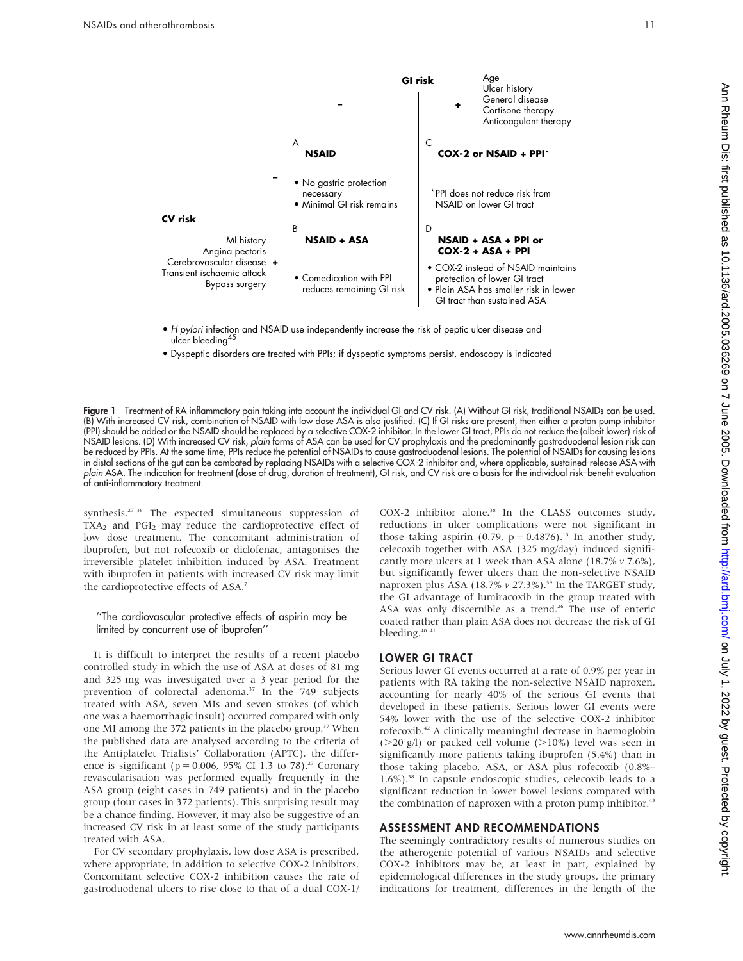

- H pylori infection and NSAID use independently increase the risk of peptic ulcer disease and ulcer bleeding<sup>45</sup>
- Dyspeptic disorders are treated with PPIs; if dyspeptic symptoms persist, endoscopy is indicated

**Figure 1** Treatment of RA inflammatory pain taking into account the individual GI and CV risk. (A) Without GI risk, traditional NSAIDs can be used. (B) With increased CV risk, combination of NSAID with low dose ASA is also justified. (C) If GI risks are present, then either a proton pump inhibitor (PPI) should be added or the NSAID should be replaced by a selective COX-2 inhibitor. In the lower GI tract, PPIs do not reduce the (albeit lower) risk of NSAID lesions. (D) With increased CV risk, plain forms of ASA can be used for CV prophylaxis and the predominantly gastroduodenal lesion risk can be reduced by PPIs. At the same time, PPIs reduce the potential of NSAIDs to cause gastroduodenal lesions. The potential of NSAIDs for causing lesions in distal sections of the gut can be combated by replacing NSAIDs with a selective COX-2 inhibitor and, where applicable, sustained-release ASA with plain ASA. The indication for treatment (dose of drug, duration of treatment), GI risk, and CV risk are a basis for the individual risk–benefit evaluation of anti-inflammatory treatment.

synthesis.<sup>27 36</sup> The expected simultaneous suppression of TXA<sub>2</sub> and PGI<sub>2</sub> may reduce the cardioprotective effect of low dose treatment. The concomitant administration of ibuprofen, but not rofecoxib or diclofenac, antagonises the irreversible platelet inhibition induced by ASA. Treatment with ibuprofen in patients with increased CV risk may limit the cardioprotective effects of ASA.<sup>7</sup>

#### ''The cardiovascular protective effects of aspirin may be limited by concurrent use of ibuprofen''

It is difficult to interpret the results of a recent placebo controlled study in which the use of ASA at doses of 81 mg and 325 mg was investigated over a 3 year period for the prevention of colorectal adenoma.<sup>37</sup> In the 749 subjects treated with ASA, seven MIs and seven strokes (of which one was a haemorrhagic insult) occurred compared with only one MI among the 372 patients in the placebo group.<sup>37</sup> When the published data are analysed according to the criteria of the Antiplatelet Trialists' Collaboration (APTC), the difference is significant ( $p = 0.006$ , 95% CI 1.3 to 78).<sup>27</sup> Coronary revascularisation was performed equally frequently in the ASA group (eight cases in 749 patients) and in the placebo group (four cases in 372 patients). This surprising result may be a chance finding. However, it may also be suggestive of an increased CV risk in at least some of the study participants treated with ASA.

For CV secondary prophylaxis, low dose ASA is prescribed, where appropriate, in addition to selective COX-2 inhibitors. Concomitant selective COX-2 inhibition causes the rate of gastroduodenal ulcers to rise close to that of a dual COX-1/ COX-2 inhibitor alone.<sup>38</sup> In the CLASS outcomes study, reductions in ulcer complications were not significant in those taking aspirin (0.79,  $p = 0.4876$ ).<sup>13</sup> In another study, celecoxib together with ASA (325 mg/day) induced significantly more ulcers at 1 week than ASA alone (18.7% v 7.6%), but significantly fewer ulcers than the non-selective NSAID naproxen plus ASA (18.7%  $v$  27.3%).<sup>39</sup> In the TARGET study, the GI advantage of lumiracoxib in the group treated with ASA was only discernible as a trend.<sup>26</sup> The use of enteric coated rather than plain ASA does not decrease the risk of GI bleeding.40 41

#### LOWER GI TRACT

Serious lower GI events occurred at a rate of 0.9% per year in patients with RA taking the non-selective NSAID naproxen, accounting for nearly 40% of the serious GI events that developed in these patients. Serious lower GI events were 54% lower with the use of the selective COX-2 inhibitor rofecoxib.42 A clinically meaningful decrease in haemoglobin ( $>$ 20 g/l) or packed cell volume ( $>$ 10%) level was seen in significantly more patients taking ibuprofen (5.4%) than in those taking placebo, ASA, or ASA plus rofecoxib (0.8%– 1.6%).38 In capsule endoscopic studies, celecoxib leads to a significant reduction in lower bowel lesions compared with the combination of naproxen with a proton pump inhibitor.<sup>43</sup>

#### ASSESSMENT AND RECOMMENDATIONS

The seemingly contradictory results of numerous studies on the atherogenic potential of various NSAIDs and selective COX-2 inhibitors may be, at least in part, explained by epidemiological differences in the study groups, the primary indications for treatment, differences in the length of the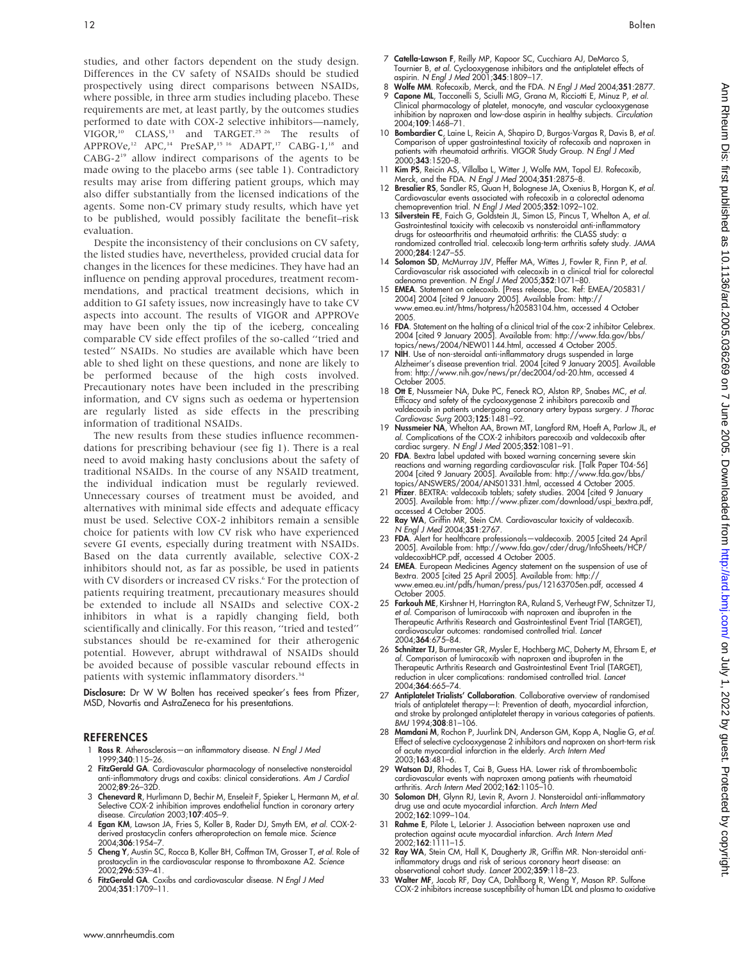studies, and other factors dependent on the study design. Differences in the CV safety of NSAIDs should be studied prospectively using direct comparisons between NSAIDs, where possible, in three arm studies including placebo. These requirements are met, at least partly, by the outcomes studies performed to date with COX-2 selective inhibitors—namely, VIGOR,<sup>10</sup> CLASS,<sup>13</sup> and TARGET.<sup>25 26</sup> The results of APPROVe,<sup>12</sup> APC,<sup>14</sup> PreSAP,<sup>15 16</sup> ADAPT,<sup>17</sup> CABG-1,<sup>18</sup> and CABG-219 allow indirect comparisons of the agents to be made owing to the placebo arms (see table 1). Contradictory results may arise from differing patient groups, which may also differ substantially from the licensed indications of the agents. Some non-CV primary study results, which have yet to be published, would possibly facilitate the benefit–risk evaluation.

Despite the inconsistency of their conclusions on CV safety, the listed studies have, nevertheless, provided crucial data for changes in the licences for these medicines. They have had an influence on pending approval procedures, treatment recommendations, and practical treatment decisions, which in addition to GI safety issues, now increasingly have to take CV aspects into account. The results of VIGOR and APPROVe may have been only the tip of the iceberg, concealing comparable CV side effect profiles of the so-called ''tried and tested'' NSAIDs. No studies are available which have been able to shed light on these questions, and none are likely to be performed because of the high costs involved. Precautionary notes have been included in the prescribing information, and CV signs such as oedema or hypertension are regularly listed as side effects in the prescribing information of traditional NSAIDs.

The new results from these studies influence recommendations for prescribing behaviour (see fig 1). There is a real need to avoid making hasty conclusions about the safety of traditional NSAIDs. In the course of any NSAID treatment, the individual indication must be regularly reviewed. Unnecessary courses of treatment must be avoided, and alternatives with minimal side effects and adequate efficacy must be used. Selective COX-2 inhibitors remain a sensible choice for patients with low CV risk who have experienced severe GI events, especially during treatment with NSAIDs. Based on the data currently available, selective COX-2 inhibitors should not, as far as possible, be used in patients with CV disorders or increased CV risks.<sup>6</sup> For the protection of patients requiring treatment, precautionary measures should be extended to include all NSAIDs and selective COX-2 inhibitors in what is a rapidly changing field, both scientifically and clinically. For this reason, ''tried and tested'' substances should be re-examined for their atherogenic potential. However, abrupt withdrawal of NSAIDs should be avoided because of possible vascular rebound effects in patients with systemic inflammatory disorders.<sup>34</sup>

Disclosure: Dr W W Bolten has received speaker's fees from Pfizer, MSD, Novartis and AstraZeneca for his presentations.

#### REFERENCES

- 1 Ross R. Atherosclerosis—an inflammatory disease. N Engl J Med 1999;340:115–26.
- 2 FitzGerald GA. Cardiovascular pharmacology of nonselective nonsteroidal anti-inflammatory drugs and coxibs: clinical considerations. Am J Cardiol 2002;89:26–32D.
- 3 Chenevard R, Hurlimann D, Bechir M, Enseleit F, Spieker L, Hermann M, et al. Selective COX-2 inhibition improves endothelial function in coronary artery
- disease. Circulation 2003;**107**:405–9.<br>4 **Egan KM**, Lawson JA, Fries S, Koller B, Rader DJ, Smyth EM, *et al.* COX-2derived prostacyclin confers atheroprotection on female mice. Science 2004;306:1954–7.
- 5 Cheng Y, Austin SC, Rocca B, Koller BH, Coffman TM, Grosser T, et al. Role of prostacyclin in the cardiovascular response to thromboxane A2. Science .<br>2002;**296**:539–41.
- 6 FitzGerald GA. Coxibs and cardiovascular disease. N Engl J Med 2004;351:1709–11.
- 7 Catella-Lawson F, Reilly MP, Kapoor SC, Cucchiara AJ, DeMarco S, Tournier B, et al. Cyclooxygenase inhibitors and the antiplatelet effects of aspirin. N Engl J Med 2001;345:1809–17.
- Wolfe MM. Rofecoxib, Merck, and the FDA. N Engl J Med 2004;351:2877. Capone ML, Tacconelli S, Sciulli MG, Grana M, Ricciotti E, Minuz P, et al. Clinical pharmacology of platelet, monocyte, and vascular cyclooxygenase inhibition by naproxen and low-dose aspirin in healthy subjects. Circulation 2004;109:1468–71.
- 10 **Bombardier C**, Laine L, Reicin A, Shapiro D, Burgos-Vargas R, Davis B, et al. Comparison of upper gastrointestinal toxicity of rofecoxib and naproxen in patients with rheumatoid arthritis. VIGOR Study Group. N Engl J Med 2000;343:1520–8.
- 11 Kim PS, Reicin AS, Villalba L, Witter J, Wolfe MM, Topol EJ. Rofecoxib, Merck, and the FDA. N Engl J Med 2004;351:2875-8.
- 12 Bresalier RS, Sandler RS, Quan H, Bolognese JA, Oxenius B, Horgan K, et al. Cardiovascular events associated with rofecoxib in a colorectal adenoma chemoprevention trial. N Engl J Med 2005;352:1092–102.
- 13 Silverstein FE, Faich G, Goldstein JL, Simon LS, Pincus T, Whelton A, et al. Gastrointestinal toxicity with celecoxib vs nonsteroidal anti-inflammatory drugs for osteoarthritis and rheumatoid arthritis: the CLASS study: a randomized controlled trial. celecoxib long-term arthritis safety study. JAMA 2000;284:1247–55.
- 14 Solomon SD, McMurray JJV, Pfeffer MA, Wittes J, Fowler R, Finn P, et al. Cardiovascular risk associated with celecoxib in a clinical trial for colorectal adenoma prevention. N Engl J Med 2005;352:1071–80.
- 15 EMEA. Statement on celecoxib. [Press release, Doc. Ref: EMEA/205831/ 2004] 2004 [cited 9 January 2005]. Available from: http:// www.emea.eu.int/htms/hotpress/h20583104.htm, accessed 4 October 2005.
- 16 FDA. Statement on the halting of a clinical trial of the cox-2 inhibitor Celebrex. 2004 [cited 9 January 2005]. Available from: http://www.fda.gov/bbs/ topics/news/2004/NEW01144.html, accessed 4 October 2005.
- 17 NIH. Use of non-steroidal anti-inflammatory drugs suspended in large Alzheimer's disease prevention trial. 2004 [cited 9 January 2005]. Available from: http://www.nih.gov/news/pr/dec2004/od-20.htm, accessed 4 October 2005.
- 18 Ott E, Nussmeier NA, Duke PC, Feneck RO, Alston RP, Snabes MC, et al. Efficacy and safety of the cyclooxygenase 2 inhibitors parecoxib and valdecoxib in patients undergoing coronary artery bypass surgery. J Thorac Cardiovasc Surg 2003;125:1481–92.
- 19 **Nussmeier NA**, Whelton AA, Brown MT, Langford RM, Hoeft A, Parlow JL, et al. Complications of the COX-2 inhibitors parecoxib and valdecoxib after
- cardiac surgery. N Engl J Med 2005;352:1081–91. 20 FDA. Bextra label updated with boxed warning concerning severe skin reactions and warning regarding cardiovascular risk. [Talk Paper T04-56] 2004 [cited 9 January 2005]. Available from: http://www.fda.gov/bbs/ topics/ANSWERS/2004/ANS01331.html, accessed 4 October 2005.
- 21 Pfizer. BEXTRA: valdecoxib tablets; safety studies. 2004 [cited 9 January 2005]. Available from: http://www.pfizer.com/download/uspi\_bextra.pdf,
- accessed 4 October 2005.<br>22 **Ray WA**, Griffin MR, Stein CM. Cardiovascular toxicity of valdecoxib.<br>N Engl J Med 2004**;351**:2767.
- 23 FDA. Alert for healthcare professionals-valdecoxib. 2005 [cited 24 April 2005]. Available from: http://www.fda.gov/cder/drug/InfoSheets/HCP/ valdecoxibHCP.pdf, accessed 4 October 2005.
- 24 EMEA. European Medicines Agency statement on the suspension of use of Bextra. 2005 [cited 25 April 2005]. Available from: http:// www.emea.eu.int/pdfs/human/press/pus/12163705en.pdf, accessed 4 October 2005.
- 25 Farkouh ME, Kirshner H, Harrington RA, Ruland S, Verheugt FW, Schnitzer TJ, et al. Comparison of lumiracoxib with naproxen and ibuprofen in the Therapeutic Arthritis Research and Gastrointestinal Event Trial (TARGET), cardiovascular outcomes: randomised controlled trial. Lancet 2004;364:675–84.
- 26 Schnitzer TJ, Burmester GR, Mysler E, Hochberg MC, Doherty M, Ehrsam E, et al. Comparison of lumiracoxib with naproxen and ibuprofen in the Therapeutic Arthritis Research and Gastrointestinal Event Trial (TARGET), reduction in ulcer complications: randomised controlled trial. Lancet 2004;364:665–74.
- 27 Antiplatelet Trialists' Collaboration. Collaborative overview of randomised trials of antiplatelet therapy—I: Prevention of death, myocardial infarction, and stroke by prolonged antiplatelet therapy in various categories of patients. BMJ 1994;308:81–106.
- 28 Mamdani M, Rochon P, Juurlink DN, Anderson GM, Kopp A, Naglie G, et al. Effect of selective cyclooxygenase 2 inhibitors and naproxen on short-term risk of acute myocardial infarction in the elderly. Arch Intern Med 2003;163:481–6.
- 29 Watson DJ, Rhodes T, Cai B, Guess HA. Lower risk of thromboembolic cardiovascular events with naproxen among patients with rheumatoid<br>arthritis. Arch Intern Med 2002;**162**:1105–10.
- 30 Solomon DH, Glynn RJ, Levin R, Avorn J. Nonsteroidal anti-inflammatory drug use and acute myocardial infarction. Arch Intern Med 2002;162:1099–104.
- 31 Rahme E, Pilote L, LeLorier J. Association between naproxen use and protection against acute myocardial infarction. Arch Intern Med  $2002;162:1111-15.$
- 32 Ray WA, Stein CM, Hall K, Daugherty JR, Griffin MR. Non-steroidal anti-inflammatory drugs and risk of serious coronary heart disease: an observational cohort study. Lancet 2002;359:118–23.
- 33 Walter MF, Jacob RF, Day CA, Dahlborg R, Weng Y, Mason RP. Sulfone COX-2 inhibitors increase susceptibility of human LDL and plasma to oxidative